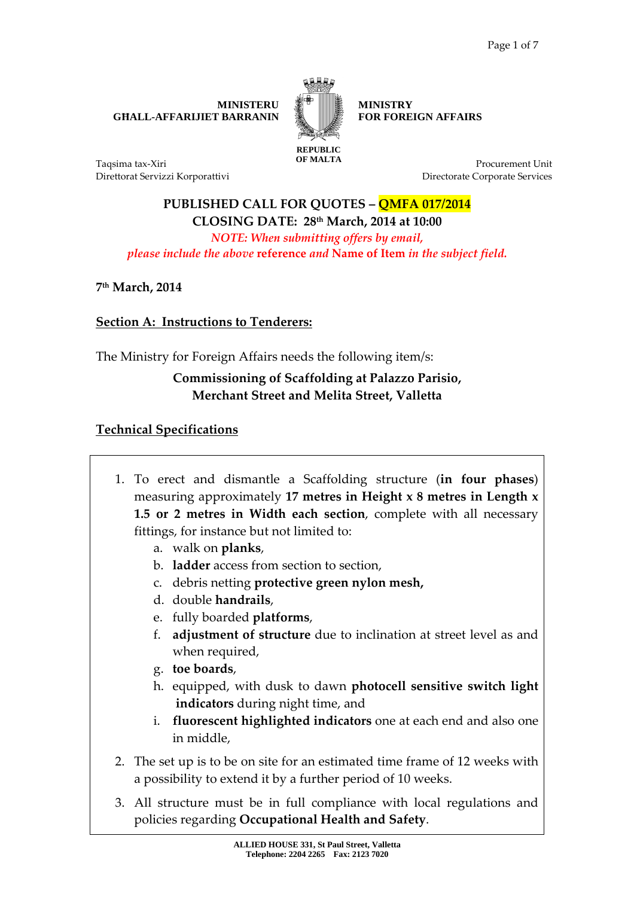**MINISTERU GĦALL-AFFARIJIET BARRANIN** 



**MINISTRY FOR FOREIGN AFFAIRS** 

Taqsima tax-Xiri Direttorat Servizzi Korporattivi

**Procurement Unit** Directorate Corporate Services

**PUBLISHED CALL FOR QUOTES – QMFA 017/2014 CLOSING DATE: 28th March, 2014 at 10:00**  *NOTE: When submitting offers by email, please include the above* **reference** *and* **Name of Item** *in the subject field.* 

**7 th March, 2014** 

## **Section A: Instructions to Tenderers:**

The Ministry for Foreign Affairs needs the following item/s:

## **Commissioning of Scaffolding at Palazzo Parisio, Merchant Street and Melita Street, Valletta**

## **Technical Specifications**

- 1. To erect and dismantle a Scaffolding structure (**in four phases**) measuring approximately **17 metres in Height x 8 metres in Length x 1.5 or 2 metres in Width each section**, complete with all necessary fittings, for instance but not limited to:
	- a. walk on **planks**,
	- b. **ladder** access from section to section,
	- c. debris netting **protective green nylon mesh,**
	- d. double **handrails**,
	- e. fully boarded **platforms**,
	- f. **adjustment of structure** due to inclination at street level as and when required,
	- g. **toe boards**,
	- h. equipped, with dusk to dawn **photocell sensitive switch light indicators** during night time, and
	- i. **fluorescent highlighted indicators** one at each end and also one in middle,
- 2. The set up is to be on site for an estimated time frame of 12 weeks with a possibility to extend it by a further period of 10 weeks.
- 3. All structure must be in full compliance with local regulations and policies regarding **Occupational Health and Safety**.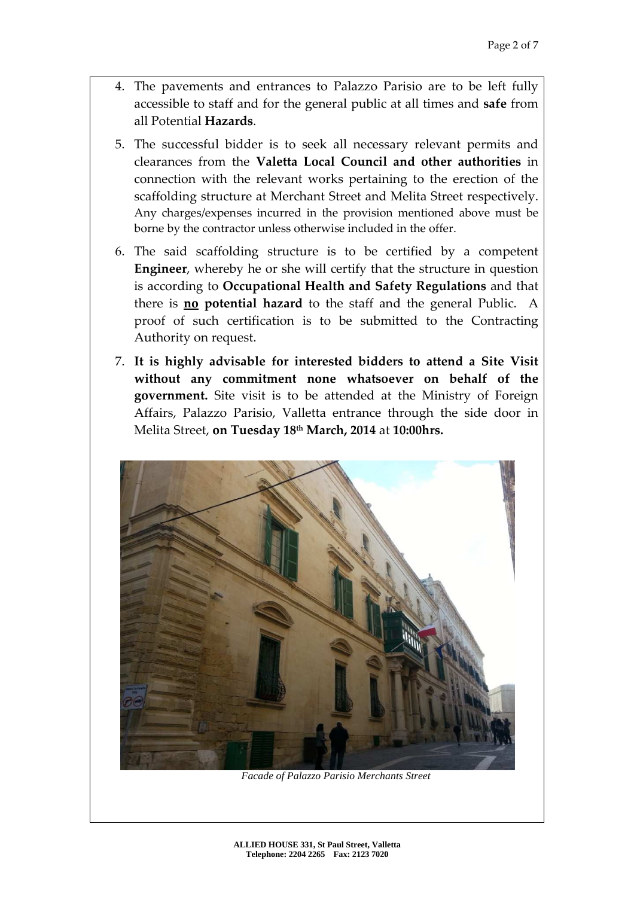- 4. The pavements and entrances to Palazzo Parisio are to be left fully accessible to staff and for the general public at all times and **safe** from all Potential **Hazards**.
- 5. The successful bidder is to seek all necessary relevant permits and clearances from the **Valetta Local Council and other authorities** in connection with the relevant works pertaining to the erection of the scaffolding structure at Merchant Street and Melita Street respectively. Any charges/expenses incurred in the provision mentioned above must be borne by the contractor unless otherwise included in the offer.
- 6. The said scaffolding structure is to be certified by a competent **Engineer**, whereby he or she will certify that the structure in question is according to **Occupational Health and Safety Regulations** and that there is **no potential hazard** to the staff and the general Public. A proof of such certification is to be submitted to the Contracting Authority on request.
- 7. **It is highly advisable for interested bidders to attend a Site Visit without any commitment none whatsoever on behalf of the government.** Site visit is to be attended at the Ministry of Foreign Affairs, Palazzo Parisio, Valletta entrance through the side door in Melita Street, **on Tuesday 18th March, 2014** at **10:00hrs.**



*Facade of Palazzo Parisio Merchants Street*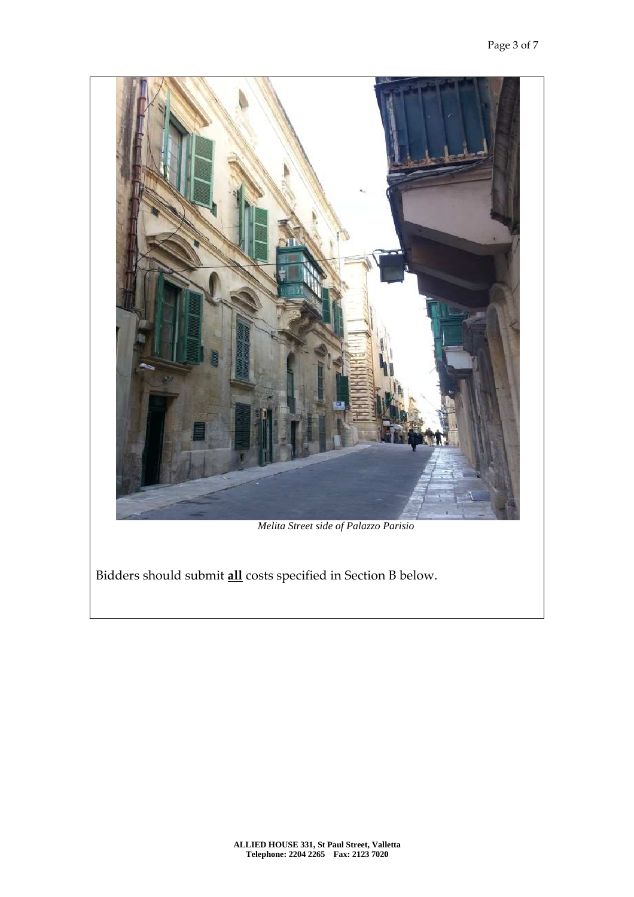

*Melita Street side of Palazzo Parisio* 

Bidders should submit **all** costs specified in Section B below.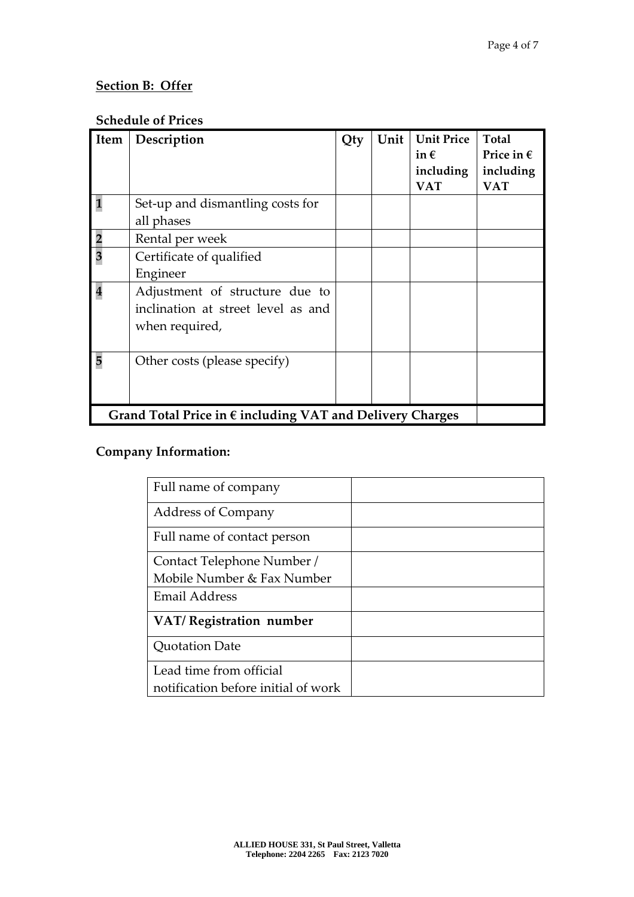## **Section B: Offer**

### **Schedule of Prices**

| Item                                                               | Description                                                                            | Qty | Unit | <b>Unit Price</b><br>in $\epsilon$<br>including<br><b>VAT</b> | Total<br>Price in $\epsilon$<br>including<br><b>VAT</b> |
|--------------------------------------------------------------------|----------------------------------------------------------------------------------------|-----|------|---------------------------------------------------------------|---------------------------------------------------------|
|                                                                    | Set-up and dismantling costs for                                                       |     |      |                                                               |                                                         |
|                                                                    | all phases                                                                             |     |      |                                                               |                                                         |
|                                                                    | Rental per week                                                                        |     |      |                                                               |                                                         |
| $\overline{\mathbf{3}}$                                            | Certificate of qualified                                                               |     |      |                                                               |                                                         |
|                                                                    | Engineer                                                                               |     |      |                                                               |                                                         |
| $\overline{\mathbf{4}}$                                            | Adjustment of structure due to<br>inclination at street level as and<br>when required, |     |      |                                                               |                                                         |
| 5                                                                  | Other costs (please specify)                                                           |     |      |                                                               |                                                         |
| Grand Total Price in $\epsilon$ including VAT and Delivery Charges |                                                                                        |     |      |                                                               |                                                         |

# **Company Information:**

| Full name of company                |  |
|-------------------------------------|--|
| <b>Address of Company</b>           |  |
| Full name of contact person         |  |
| Contact Telephone Number /          |  |
| Mobile Number & Fax Number          |  |
| <b>Email Address</b>                |  |
| VAT/Registration number             |  |
| <b>Quotation Date</b>               |  |
| Lead time from official             |  |
| notification before initial of work |  |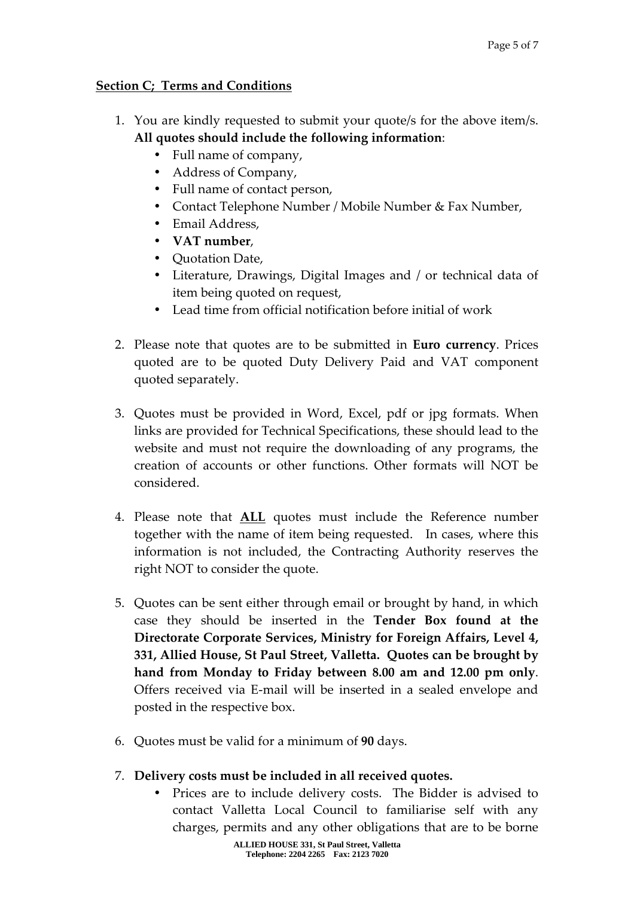#### **Section C; Terms and Conditions**

- 1. You are kindly requested to submit your quote/s for the above item/s. **All quotes should include the following information**:
	- Full name of company,
	- Address of Company,
	- Full name of contact person,
	- Contact Telephone Number / Mobile Number & Fax Number,
	- Email Address,
	- **VAT number**,
	- Quotation Date,
	- Literature, Drawings, Digital Images and / or technical data of item being quoted on request,
	- Lead time from official notification before initial of work
- 2. Please note that quotes are to be submitted in **Euro currency**. Prices quoted are to be quoted Duty Delivery Paid and VAT component quoted separately.
- 3. Quotes must be provided in Word, Excel, pdf or jpg formats. When links are provided for Technical Specifications, these should lead to the website and must not require the downloading of any programs, the creation of accounts or other functions. Other formats will NOT be considered.
- 4. Please note that **ALL** quotes must include the Reference number together with the name of item being requested. In cases, where this information is not included, the Contracting Authority reserves the right NOT to consider the quote.
- 5. Quotes can be sent either through email or brought by hand, in which case they should be inserted in the **Tender Box found at the Directorate Corporate Services, Ministry for Foreign Affairs, Level 4, 331, Allied House, St Paul Street, Valletta. Quotes can be brought by hand from Monday to Friday between 8.00 am and 12.00 pm only**. Offers received via E-mail will be inserted in a sealed envelope and posted in the respective box.
- 6. Quotes must be valid for a minimum of **90** days.
- 7. **Delivery costs must be included in all received quotes.** 
	- Prices are to include delivery costs. The Bidder is advised to contact Valletta Local Council to familiarise self with any charges, permits and any other obligations that are to be borne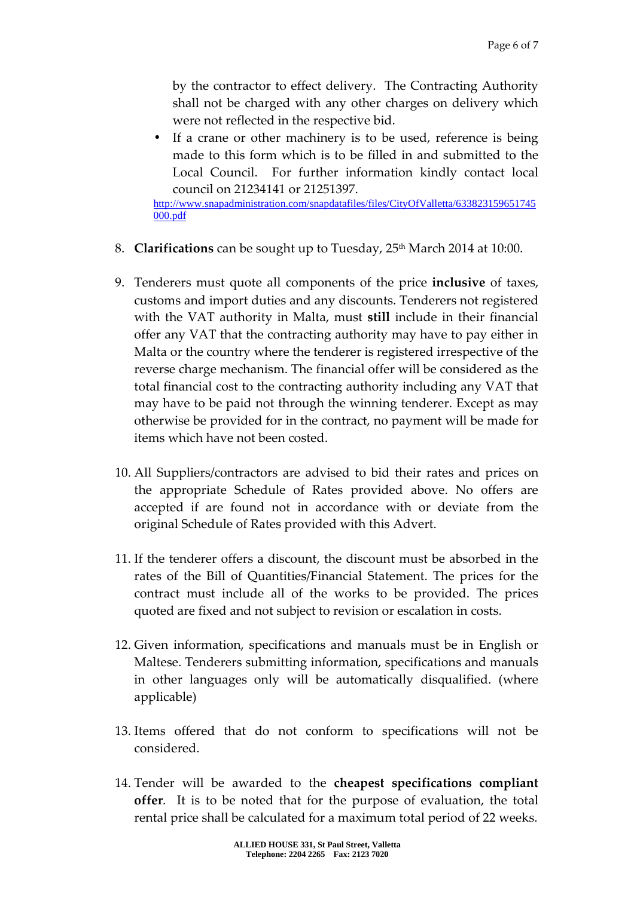by the contractor to effect delivery. The Contracting Authority shall not be charged with any other charges on delivery which were not reflected in the respective bid.

• If a crane or other machinery is to be used, reference is being made to this form which is to be filled in and submitted to the Local Council. For further information kindly contact local council on 21234141 or 21251397.

http://www.snapadministration.com/snapdatafiles/files/CityOfValletta/633823159651745 000.pdf

- 8. **Clarifications** can be sought up to Tuesday, 25<sup>th</sup> March 2014 at 10:00.
- 9. Tenderers must quote all components of the price **inclusive** of taxes, customs and import duties and any discounts. Tenderers not registered with the VAT authority in Malta, must **still** include in their financial offer any VAT that the contracting authority may have to pay either in Malta or the country where the tenderer is registered irrespective of the reverse charge mechanism. The financial offer will be considered as the total financial cost to the contracting authority including any VAT that may have to be paid not through the winning tenderer. Except as may otherwise be provided for in the contract, no payment will be made for items which have not been costed.
- 10. All Suppliers/contractors are advised to bid their rates and prices on the appropriate Schedule of Rates provided above. No offers are accepted if are found not in accordance with or deviate from the original Schedule of Rates provided with this Advert.
- 11. If the tenderer offers a discount, the discount must be absorbed in the rates of the Bill of Quantities/Financial Statement. The prices for the contract must include all of the works to be provided. The prices quoted are fixed and not subject to revision or escalation in costs.
- 12. Given information, specifications and manuals must be in English or Maltese. Tenderers submitting information, specifications and manuals in other languages only will be automatically disqualified. (where applicable)
- 13. Items offered that do not conform to specifications will not be considered.
- 14. Tender will be awarded to the **cheapest specifications compliant offer**. It is to be noted that for the purpose of evaluation, the total rental price shall be calculated for a maximum total period of 22 weeks.